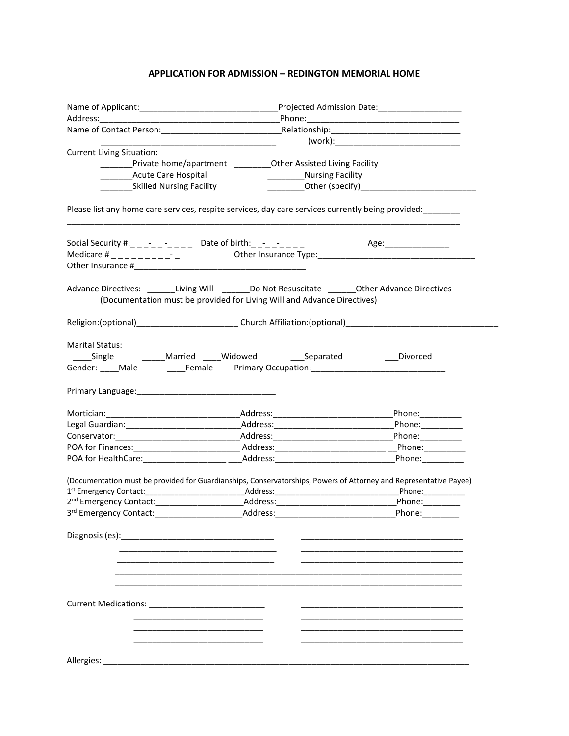## **APPLICATION FOR ADMISSION – REDINGTON MEMORIAL HOME**

|                                                                                                                                                                       |                                                                             |                              | Projected Admission Date:____________________ |  |
|-----------------------------------------------------------------------------------------------------------------------------------------------------------------------|-----------------------------------------------------------------------------|------------------------------|-----------------------------------------------|--|
|                                                                                                                                                                       |                                                                             |                              |                                               |  |
|                                                                                                                                                                       |                                                                             |                              |                                               |  |
|                                                                                                                                                                       |                                                                             |                              |                                               |  |
| <b>Current Living Situation:</b>                                                                                                                                      |                                                                             |                              |                                               |  |
|                                                                                                                                                                       | __________Private home/apartment ____________Other Assisted Living Facility |                              |                                               |  |
| <b>Acute Care Hospital</b>                                                                                                                                            |                                                                             | ____________Nursing Facility |                                               |  |
| _____________Skilled Nursing Facility                                                                                                                                 |                                                                             |                              |                                               |  |
| Please list any home care services, respite services, day care services currently being provided:                                                                     |                                                                             |                              |                                               |  |
|                                                                                                                                                                       |                                                                             |                              |                                               |  |
| Social Security #:___-__ -___ Date of birth:__-__-___ Age:_______________________<br>Medicare #___________ __ Other Insurance Type:__________________________________ |                                                                             |                              |                                               |  |
|                                                                                                                                                                       |                                                                             |                              |                                               |  |
| Advance Directives: _________Living Will _________ Do Not Resuscitate _________Other Advance Directives                                                               | (Documentation must be provided for Living Will and Advance Directives)     |                              |                                               |  |
|                                                                                                                                                                       |                                                                             |                              |                                               |  |
| Marital Status:                                                                                                                                                       |                                                                             |                              |                                               |  |
|                                                                                                                                                                       |                                                                             |                              |                                               |  |
|                                                                                                                                                                       |                                                                             |                              |                                               |  |
|                                                                                                                                                                       |                                                                             |                              |                                               |  |
|                                                                                                                                                                       |                                                                             |                              |                                               |  |
|                                                                                                                                                                       |                                                                             |                              |                                               |  |
|                                                                                                                                                                       |                                                                             |                              | Phone:________                                |  |
|                                                                                                                                                                       |                                                                             |                              | Phone:__________                              |  |
|                                                                                                                                                                       |                                                                             |                              |                                               |  |
|                                                                                                                                                                       |                                                                             |                              |                                               |  |
|                                                                                                                                                                       |                                                                             |                              |                                               |  |
| (Documentation must be provided for Guardianships, Conservatorships, Powers of Attorney and Representative Payee)                                                     |                                                                             |                              |                                               |  |
|                                                                                                                                                                       |                                                                             |                              |                                               |  |
| 3rd Emergency Contact:                                                                                                                                                | Address:                                                                    |                              | Phone:                                        |  |
| Diagnosis (es):                                                                                                                                                       |                                                                             |                              |                                               |  |
|                                                                                                                                                                       |                                                                             |                              |                                               |  |
| <b>Current Medications: Current Medications:</b>                                                                                                                      |                                                                             |                              |                                               |  |
|                                                                                                                                                                       |                                                                             |                              |                                               |  |
|                                                                                                                                                                       |                                                                             |                              |                                               |  |
|                                                                                                                                                                       |                                                                             |                              |                                               |  |
| Allergies:                                                                                                                                                            |                                                                             |                              |                                               |  |